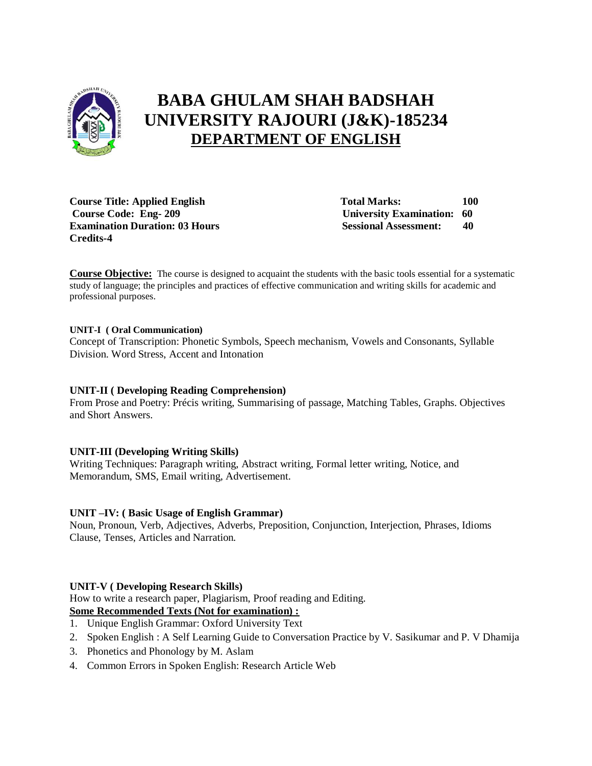

# **BABA GHULAM SHAH BADSHAH UNIVERSITY RAJOURI (J&K)-185234 DEPARTMENT OF ENGLISH**

**Course Title: Applied English Total Marks:** 100 **Course Code: Eng- 209 University Examination: 60 Examination Duration: 03 Hours Sessional Assessment: 40 Credits-4** 

**Course Objective:** The course is designed to acquaint the students with the basic tools essential for a systematic study of language; the principles and practices of effective communication and writing skills for academic and professional purposes.

#### **UNIT-I ( Oral Communication)**

Concept of Transcription: Phonetic Symbols, Speech mechanism, Vowels and Consonants, Syllable Division. Word Stress, Accent and Intonation

#### **UNIT-II ( Developing Reading Comprehension)**

From Prose and Poetry: Précis writing, Summarising of passage, Matching Tables, Graphs. Objectives and Short Answers.

# **UNIT-III (Developing Writing Skills)**

Writing Techniques: Paragraph writing, Abstract writing, Formal letter writing, Notice, and Memorandum, SMS, Email writing, Advertisement.

#### **UNIT –IV: ( Basic Usage of English Grammar)**

Noun, Pronoun, Verb, Adjectives, Adverbs, Preposition, Conjunction, Interjection, Phrases, Idioms Clause, Tenses, Articles and Narration.

#### **UNIT-V ( Developing Research Skills)**

How to write a research paper, Plagiarism, Proof reading and Editing.

# **Some Recommended Texts (Not for examination) :**

- 1. Unique English Grammar: Oxford University Text
- 2. Spoken English : A Self Learning Guide to Conversation Practice by V. Sasikumar and P. V Dhamija
- 3. Phonetics and Phonology by M. Aslam
- 4. Common Errors in Spoken English: Research Article Web